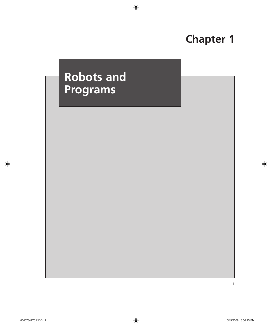# **Chapter 1**

# **Robots and Programs**

 $\bigoplus$ 

1

 $\bigoplus$ 

 $\bigoplus$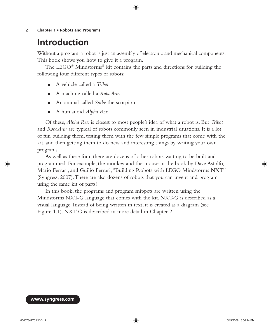**2 Chapter 1 • Robots and Programs**

# **Introduction**

Without a program, a robot is just an assembly of electronic and mechanical components. This book shows you how to give it a program.

⊕

The LEGO® Mindstorms® kit contains the parts and directions for building the following four different types of robots:

- A vehicle called a *Tribot* ■
- A machine called a *RoboArm* ■
- An animal called *Spike* the scorpion ■
- A humanoid *Alpha Rex* ■

Of these, *Alpha Rex* is closest to most people's idea of what a robot is. But *Tribot* and *RoboArm* are typical of robots commonly seen in industrial situations. It is a lot of fun building them, testing them with the few simple programs that come with the kit, and then getting them to do new and interesting things by writing your own programs.

As well as these four, there are dozens of other robots waiting to be built and programmed. For example, the monkey and the mouse in the book by Dave Astolfo, Mario Ferrari, and Guilio Ferrari, "Building Robots with LEGO Mindstorms NXT" (Syngress, 2007). There are also dozens of robots that you can invent and program using the same kit of parts!

In this book, the programs and program snippets are written using the Mindstorms NXT-G language that comes with the kit. NXT-G is described as a visual language. Instead of being written in text, it is created as a diagram (see Figure 1.1). NXT-G is described in more detail in Chapter 2.

#### **www.syngress.com**

0000784776.INDD 2 5/19/2008 3:56:24 PM

↔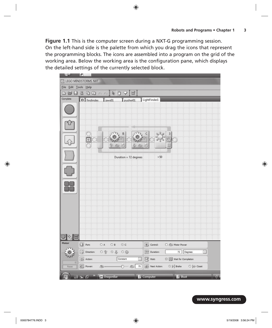**Figure 1.1** This is the computer screen during a NXT-G programming session. On the left-hand side is the palette from which you drag the icons that represent the programming blocks. The icons are assembled into a program on the grid of the working area. Below the working area is the configuration pane, which displays the detailed settings of the currently selected block.

 $\bigoplus$ 



**www.syngress.com**

⊕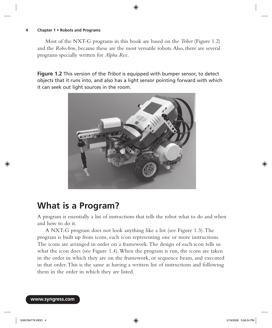#### **4 Chapter 1 • Robots and Programs**

Most of the NXT-G programs in this book are based on the *Tribot* (Figure 1.2) and the *RoboArm*, because these are the most versatile robots. Also, there are several programs specially written for *Alpha Rex.*

⊕

**Figure 1.2** This version of the *Tribot* is equipped with bumper sensor, to detect objects that it runs into, and also has a light sensor pointing forward with which it can seek out light sources in the room.



# **What is a Program?**

A program is essentially a list of instructions that tells the robot what to do and when and how to do it.

A NXT-G program does not look anything like a list (see Figure 1.3 ). The program is built up from icons, each icon representing one or more instructions. The icons are arranged in order on a framework. The design of each icon tells us what the icon does (see Figure 1.4). When the program is run, the icons are taken in the order in which they are on the framework, or sequence beam, and executed in that order. This is the same as having a written list of instructions and following them in the order in which they are listed.

**www.syngress.com**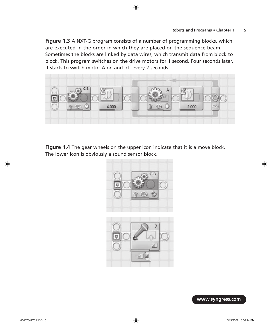**Figure 1.3** A NXT-G program consists of a number of programming blocks, which are executed in the order in which they are placed on the sequence beam. Sometimes the blocks are linked by data wires, which transmit data from block to block. This program switches on the drive motors for 1 second. Four seconds later, it starts to switch motor A on and off every 2 seconds.

 $\bigoplus$ 



**Figure 1.4** The gear wheels on the upper icon indicate that it is a move block. The lower icon is obviously a sound sensor block.



**www.syngress.com**

⊕

 $\bigoplus$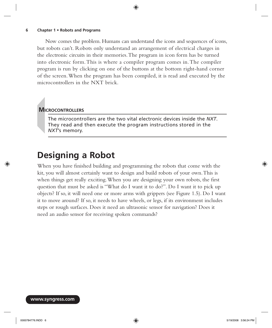### ⊕

### **6 Chapter 1 • Robots and Programs**

Now comes the problem. Humans can understand the icons and sequences of icons, but robots can't. Robots only understand an arrangement of electrical charges in the electronic circuits in their memories. The program in icon form has be turned into electronic form. This is where a compiler program comes in. The compiler program is run by clicking on one of the buttons at the bottom right-hand corner of the screen. When the program has been compiled, it is read and executed by the microcontrollers in the NXT brick.

### **MICROCONTROLLERS**

The microcontrollers are the two vital electronic devices inside the *NXT*. They read and then execute the program instructions stored in the *NXT*'s memory.

## **Designing a Robot**

When you have finished building and programming the robots that come with the kit, you will almost certainly want to design and build robots of your own. This is when things get really exciting. When you are designing your own robots, the first question that must be asked is "What do I want it to do?". Do I want it to pick up objects? If so, it will need one or more arms with grippers (see Figure 1.5 ). Do I want it to move around? If so, it needs to have wheels, or legs, if its environment includes steps or rough surfaces. Does it need an ultrasonic sensor for navigation? Does it need an audio sensor for receiving spoken commands?

**www.syngress.com**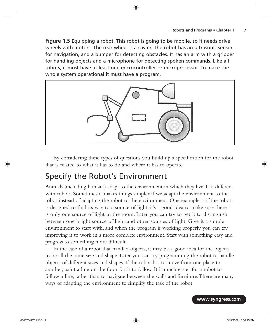**Figure 1.5** Equipping a robot. This robot is going to be mobile, so it needs drive wheels with motors. The rear wheel is a caster. The robot has an ultrasonic sensor for navigation, and a bumper for detecting obstacles. It has an arm with a gripper for handling objects and a microphone for detecting spoken commands. Like all robots, it must have at least one microcontroller or microprocessor. To make the whole system operational it must have a program.

⊕



By considering these types of questions you build up a specification for the robot that is related to what it has to do and where it has to operate.

## Specify the Robot's Environment

Animals (including humans) adapt to the environment in which they live. It is different with robots. Sometimes it makes things simpler if we adapt the environment to the robot instead of adapting the robot to the environment. One example is if the robot is designed to find its way to a source of light, it's a good idea to make sure there is only one source of light in the room. Later you can try to get it to distinguish between one bright source of light and other sources of light. Give it a simple environment to start with, and when the program is working properly you can try improving it to work in a more complex environment. Start with something easy and progress to something more difficult.

In the case of a robot that handles objects, it may be a good idea for the objects to be all the same size and shape. Later you can try programming the robot to handle objects of different sizes and shapes. If the robot has to move from one place to another, paint a line on the floor for it to follow. It is much easier for a robot to follow a line, rather than to navigate between the walls and furniture. There are many ways of adapting the environment to simplify the task of the robot.

**www.syngress.com**

⊕

↔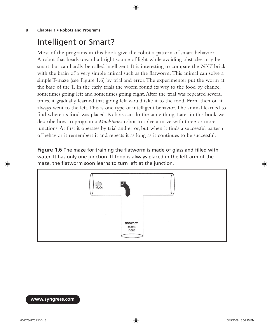### **8 Chapter 1 • Robots and Programs**

### Intelligent or Smart?

Most of the programs in this book give the robot a pattern of smart behavior. A robot that heads toward a bright source of light while avoiding obstacles may be smart, but can hardly be called intelligent. It is interesting to compare the *NXT* brick with the brain of a very simple animal such as the flatworm. This animal can solve a simple T-maze (see Figure 1.6 ) by trial and error. The experimenter put the worm at the base of the T. In the early trials the worm found its way to the food by chance, sometimes going left and sometimes going right. After the trial was repeated several times, it gradually learned that going left would take it to the food. From then on it always went to the left. This is one type of intelligent behavior. The animal learned to find where its food was placed. Robots can do the same thing. Later in this book we describe how to program a *Mindstorms* robot to solve a maze with three or more junctions. At first it operates by trial and error, but when it finds a successful pattern of behavior it remembers it and repeats it as long as it continues to be successful.

⊕

**Figure 1.6** The maze for training the flatworm is made of glass and filled with water. It has only one junction. If food is always placed in the left arm of the maze, the flatworm soon learns to turn left at the junction.



### **www.syngress.com**

⊕

↔